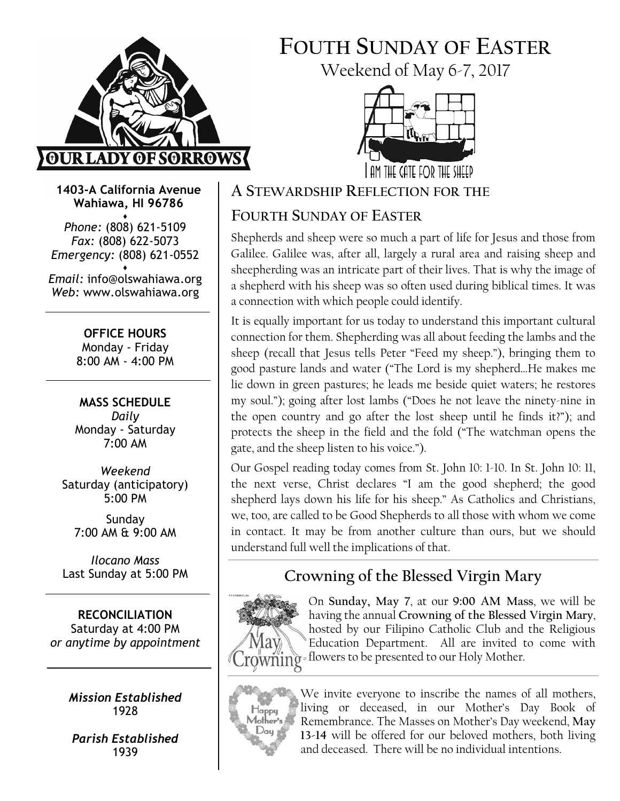

# FOUTH SUNDAY OF EASTER

Weekend of May 6-7, 2017



1403-A California Avenue Wahiawa, HI 96786

♦ Phone: (808) 621-5109 Fax: (808) 622-5073 Emergency: (808) 621-0552

♦ Email: info@olswahiawa.org Web: www.olswahiawa.org

> OFFICE HOURS Monday - Friday 8:00 AM - 4:00 PM

MASS SCHEDULE Daily Monday - Saturday 7:00 AM

Weekend Saturday (anticipatory) 5:00 PM

Sunday 7:00 AM & 9:00 AM

Ilocano Mass Last Sunday at 5:00 PM

RECONCILIATION Saturday at 4:00 PM or anytime by appointment

> Mission Established 1928

Parish Established 1939

A STEWARDSHIP REFLECTION FOR THE

# FOURTH SUNDAY OF EASTER

Shepherds and sheep were so much a part of life for Jesus and those from Galilee. Galilee was, after all, largely a rural area and raising sheep and sheepherding was an intricate part of their lives. That is why the image of a shepherd with his sheep was so often used during biblical times. It was a connection with which people could identify.

It is equally important for us today to understand this important cultural connection for them. Shepherding was all about feeding the lambs and the sheep (recall that Jesus tells Peter "Feed my sheep."), bringing them to good pasture lands and water ("The Lord is my shepherd…He makes me lie down in green pastures; he leads me beside quiet waters; he restores my soul."); going after lost lambs ("Does he not leave the ninety-nine in the open country and go after the lost sheep until he finds it?"); and protects the sheep in the field and the fold ("The watchman opens the gate, and the sheep listen to his voice.").

Our Gospel reading today comes from St. John 10: 1-10. In St. John 10: 11, the next verse, Christ declares "I am the good shepherd; the good shepherd lays down his life for his sheep." As Catholics and Christians, we, too, are called to be Good Shepherds to all those with whom we come in contact. It may be from another culture than ours, but we should understand full well the implications of that.

# Crowning of the Blessed Virgin Mary



On Sunday, May 7, at our 9:00 AM Mass, we will be having the annual Crowning of the Blessed Virgin Mary, hosted by our Filipino Catholic Club and the Religious Education Department. All are invited to come with gwning = flowers to be presented to our Holy Mother.



We invite everyone to inscribe the names of all mothers, living or deceased, in our Mother's Day Book of Remembrance. The Masses on Mother's Day weekend, May 13-14 will be offered for our beloved mothers, both living and deceased. There will be no individual intentions.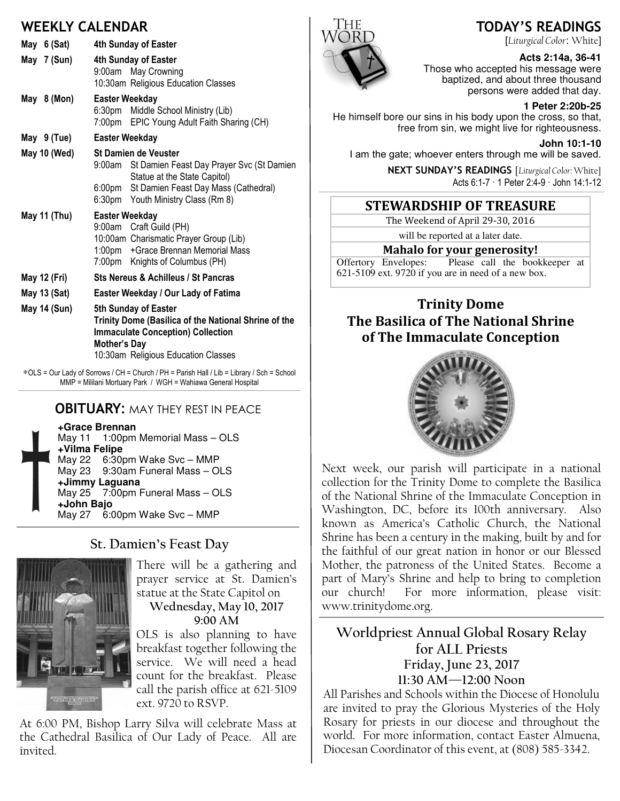### WEEKLY CALENDAR

| May 6 (Sat)  | 4th Sunday of Easter                                                                                                                                                                   |
|--------------|----------------------------------------------------------------------------------------------------------------------------------------------------------------------------------------|
| May 7 (Sun)  | 4th Sunday of Easter<br>9:00am May Crowning<br>10:30am Religious Education Classes                                                                                                     |
| May 8 (Mon)  | <b>Easter Weekday</b><br>6:30pm Middle School Ministry (Lib)<br>7:00pm EPIC Young Adult Faith Sharing (CH)                                                                             |
| May 9 (Tue)  | <b>Easter Weekday</b>                                                                                                                                                                  |
| May 10 (Wed) | <b>St Damien de Veuster</b><br>9:00am St Damien Feast Day Prayer Svc (St Damien<br>Statue at the State Capitol)<br>6:00pm St Damien Feast Day Mass (Cathedral)                         |
|              | 6:30pm Youth Ministry Class (Rm 8)                                                                                                                                                     |
| May 11 (Thu) | <b>Easter Weekday</b><br>9:00am Craft Guild (PH)<br>10:00am Charismatic Prayer Group (Lib)<br>1:00pm + Grace Brennan Memorial Mass<br>7:00pm Knights of Columbus (PH)                  |
| May 12 (Fri) | <b>Sts Nereus &amp; Achilleus / St Pancras</b>                                                                                                                                         |
| May 13 (Sat) | Easter Weekday / Our Lady of Fatima                                                                                                                                                    |
| May 14 (Sun) | 5th Sunday of Easter<br>Trinity Dome (Basilica of the National Shrine of the<br><b>Immaculate Conception) Collection</b><br><b>Mother's Day</b><br>10:30am Religious Education Classes |

∗OLS = Our Lady of Sorrows / CH = Church / PH = Parish Hall / Lib = Library / Sch = School MMP = Mililani Mortuary Park / WGH = Wahiawa General Hospital

### **OBITUARY: MAY THEY REST IN PEACE**

**+Grace Brennan**

May 11 1:00pm Memorial Mass – OLS **+Vilma Felipe** May 22 6:30pm Wake Svc – MMP May 23 9:30am Funeral Mass – OLS **+Jimmy Laguana** May 25 7:00pm Funeral Mass – OLS **+John Bajo** May 27 6:00pm Wake Svc – MMP

### St. Damien's Feast Day



There will be a gathering and prayer service at St. Damien's statue at the State Capitol on Wednesday, May 10, 2017 9:00 AM

OLS is also planning to have breakfast together following the service. We will need a head count for the breakfast. Please call the parish office at 621-5109 ext. 9720 to RSVP.

At 6:00 PM, Bishop Larry Silva will celebrate Mass at the Cathedral Basilica of Our Lady of Peace. All are invited.



**Acts 2:14a, 36-41**  Those who accepted his message were

baptized, and about three thousand persons were added that day.

### **1 Peter 2:20b-25**

He himself bore our sins in his body upon the cross, so that, free from sin, we might live for righteousness.

**John 10:1-10** 

I am the gate; whoever enters through me will be saved.

NEXT SUNDAY'S READINGS [Liturgical Color: White] Acts 6:1-7 · 1 Peter 2:4-9 · John 14:1-12

### STEWARDSHIP OF TREASURE

The Weekend of April 29-30, 2016

will be reported at a later date.

**Mahalo for your generosity!**<br>Offertory Envelopes: Please call the boo Please call the bookkeeper at  $621-5109$  ext. 9720 if you are in need of a new box.

### Trinity Dome The Basilica of The National Shrine of The Immaculate Conception



Next week, our parish will participate in a national collection for the Trinity Dome to complete the Basilica of the National Shrine of the Immaculate Conception in Washington, DC, before its 100th anniversary. Also known as America's Catholic Church, the National Shrine has been a century in the making, built by and for the faithful of our great nation in honor or our Blessed Mother, the patroness of the United States. Become a part of Mary's Shrine and help to bring to completion our church! For more information, please visit: www.trinitydome.org.

Worldpriest Annual Global Rosary Relay for ALL Priests Friday, June 23, 2017 11:30 AM—12:00 Noon

All Parishes and Schools within the Diocese of Honolulu are invited to pray the Glorious Mysteries of the Holy Rosary for priests in our diocese and throughout the world. For more information, contact Easter Almuena, Diocesan Coordinator of this event, at (808) 585-3342.

### TODAY'S READINGS [Liturgical Color: White]